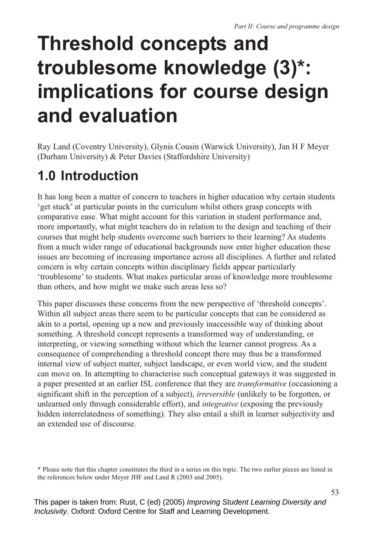53

# **Threshold concepts and troublesome knowledge (3)\*: implications for course design and evaluation**

Ray Land (Coventry University), Glynis Cousin (Warwick University), Jan H F Meyer (Durham University) & Peter Davies (Staffordshire University)

# **1.0 Introduction**

It has long been a matter of concern to teachers in higher education why certain students 'get stuck' at particular points in the curriculum whilst others grasp concepts with comparative ease. What might account for this variation in student performance and, more importantly, what might teachers do in relation to the design and teaching of their courses that might help students overcome such barriers to their learning? As students from a much wider range of educational backgrounds now enter higher education these issues are becoming of increasing importance across all disciplines. A further and related concern is why certain concepts within disciplinary fields appear particularly 'troublesome' to students. What makes particular areas of knowledge more troublesome than others, and how might we make such areas less so?

This paper discusses these concerns from the new perspective of 'threshold concepts'. Within all subject areas there seem to be particular concepts that can be considered as akin to a portal, opening up a new and previously inaccessible way of thinking about something. A threshold concept represents a transformed way of understanding, or interpreting, or viewing something without which the learner cannot progress. As a consequence of comprehending a threshold concept there may thus be a transformed internal view of subject matter, subject landscape, or even world view, and the student can move on. In attempting to characterise such conceptual gateways it was suggested in a paper presented at an earlier ISL conference that they are *transformative* (occasioning a significant shift in the perception of a subject), *irreversible* (unlikely to be forgotten, or unlearned only through considerable effort), and *integrative* (exposing the previously hidden interrelatedness of something). They also entail a shift in learner subjectivity and an extended use of discourse.

<sup>\*</sup> Please note that this chapter constitutes the third in a series on this topic. The two earlier pieces are listed in the references below under Meyer JHF and Land R (2003 and 2005).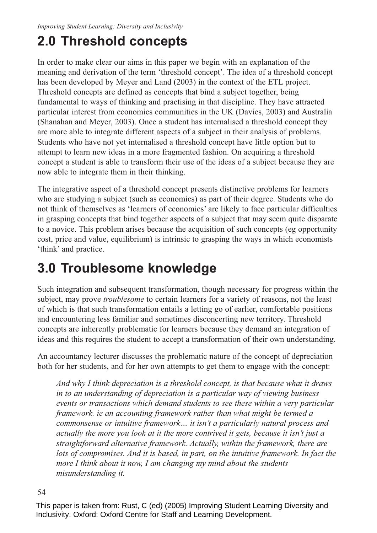# **2.0 Threshold concepts**

In order to make clear our aims in this paper we begin with an explanation of the meaning and derivation of the term 'threshold concept'. The idea of a threshold concept has been developed by Meyer and Land (2003) in the context of the ETL project. Threshold concepts are defined as concepts that bind a subject together, being fundamental to ways of thinking and practising in that discipline. They have attracted particular interest from economics communities in the UK (Davies, 2003) and Australia (Shanahan and Meyer, 2003). Once a student has internalised a threshold concept they are more able to integrate different aspects of a subject in their analysis of problems. Students who have not yet internalised a threshold concept have little option but to attempt to learn new ideas in a more fragmented fashion. On acquiring a threshold concept a student is able to transform their use of the ideas of a subject because they are now able to integrate them in their thinking.

The integrative aspect of a threshold concept presents distinctive problems for learners who are studying a subject (such as economics) as part of their degree. Students who do not think of themselves as 'learners of economics' are likely to face particular difficulties in grasping concepts that bind together aspects of a subject that may seem quite disparate to a novice. This problem arises because the acquisition of such concepts (eg opportunity cost, price and value, equilibrium) is intrinsic to grasping the ways in which economists 'think' and practice.

# **3.0 Troublesome knowledge**

Such integration and subsequent transformation, though necessary for progress within the subject, may prove *troublesome* to certain learners for a variety of reasons, not the least of which is that such transformation entails a letting go of earlier, comfortable positions and encountering less familiar and sometimes disconcerting new territory. Threshold concepts are inherently problematic for learners because they demand an integration of ideas and this requires the student to accept a transformation of their own understanding.

An accountancy lecturer discusses the problematic nature of the concept of depreciation both for her students, and for her own attempts to get them to engage with the concept:

*And why I think depreciation is a threshold concept, is that because what it draws in to an understanding of depreciation is a particular way of viewing business events or transactions which demand students to see these within a very particular framework. ie an accounting framework rather than what might be termed a commonsense or intuitive framework… it isn't a particularly natural process and actually the more you look at it the more contrived it gets, because it isn't just a straightforward alternative framework. Actually, within the framework, there are lots of compromises. And it is based, in part, on the intuitive framework. In fact the more I think about it now, I am changing my mind about the students misunderstanding it.*

#### 54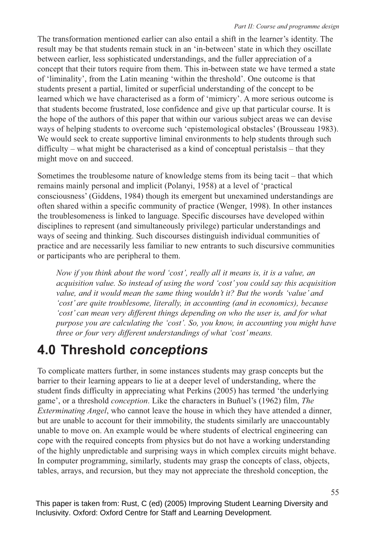The transformation mentioned earlier can also entail a shift in the learner's identity. The result may be that students remain stuck in an 'in-between' state in which they oscillate between earlier, less sophisticated understandings, and the fuller appreciation of a concept that their tutors require from them. This in-between state we have termed a state of 'liminality', from the Latin meaning 'within the threshold'. One outcome is that students present a partial, limited or superficial understanding of the concept to be learned which we have characterised as a form of 'mimicry'. A more serious outcome is that students become frustrated, lose confidence and give up that particular course. It is the hope of the authors of this paper that within our various subject areas we can devise ways of helping students to overcome such 'epistemological obstacles' (Brousseau 1983). We would seek to create supportive liminal environments to help students through such difficulty – what might be characterised as a kind of conceptual peristalsis – that they might move on and succeed.

Sometimes the troublesome nature of knowledge stems from its being tacit – that which remains mainly personal and implicit (Polanyi, 1958) at a level of 'practical consciousness' (Giddens, 1984) though its emergent but unexamined understandings are often shared within a specific community of practice (Wenger, 1998). In other instances the troublesomeness is linked to language. Specific discourses have developed within disciplines to represent (and simultaneously privilege) particular understandings and ways of seeing and thinking. Such discourses distinguish individual communities of practice and are necessarily less familiar to new entrants to such discursive communities or participants who are peripheral to them.

*Now if you think about the word 'cost', really all it means is, it is a value, an acquisition value. So instead of using the word 'cost' you could say this acquisition value, and it would mean the same thing wouldn't it? But the words 'value' and 'cost' are quite troublesome, literally, in accounting (and in economics), because 'cost' can mean very different things depending on who the user is, and for what purpose you are calculating the 'cost'. So, you know, in accounting you might have three or four very different understandings of what 'cost' means.* 

# **4.0 Threshold** *conceptions*

To complicate matters further, in some instances students may grasp concepts but the barrier to their learning appears to lie at a deeper level of understanding, where the student finds difficulty in appreciating what Perkins (2005) has termed 'the underlying game', or a threshold *conception*. Like the characters in Buñuel's (1962) film, *The Exterminating Angel*, who cannot leave the house in which they have attended a dinner, but are unable to account for their immobility, the students similarly are unaccountably unable to move on. An example would be where students of electrical engineering can cope with the required concepts from physics but do not have a working understanding of the highly unpredictable and surprising ways in which complex circuits might behave. In computer programming, similarly, students may grasp the concepts of class, objects, tables, arrays, and recursion, but they may not appreciate the threshold conception, the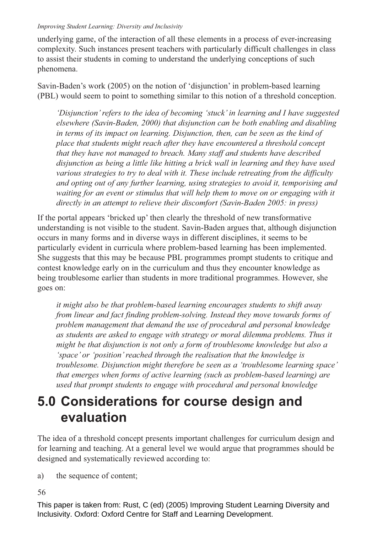#### *Improving Student Learning: Diversity and Inclusivity*

underlying game, of the interaction of all these elements in a process of ever-increasing complexity. Such instances present teachers with particularly difficult challenges in class to assist their students in coming to understand the underlying conceptions of such phenomena.

Savin-Baden's work (2005) on the notion of 'disjunction' in problem-based learning (PBL) would seem to point to something similar to this notion of a threshold conception.

*'Disjunction' refers to the idea of becoming 'stuck' in learning and I have suggested elsewhere (Savin-Baden, 2000) that disjunction can be both enabling and disabling in terms of its impact on learning. Disjunction, then, can be seen as the kind of place that students might reach after they have encountered a threshold concept that they have not managed to breach. Many staff and students have described disjunction as being a little like hitting a brick wall in learning and they have used various strategies to try to deal with it. These include retreating from the difficulty and opting out of any further learning, using strategies to avoid it, temporising and waiting for an event or stimulus that will help them to move on or engaging with it directly in an attempt to relieve their discomfort (Savin-Baden 2005: in press)*

If the portal appears 'bricked up' then clearly the threshold of new transformative understanding is not visible to the student. Savin-Baden argues that, although disjunction occurs in many forms and in diverse ways in different disciplines, it seems to be particularly evident in curricula where problem-based learning has been implemented. She suggests that this may be because PBL programmes prompt students to critique and contest knowledge early on in the curriculum and thus they encounter knowledge as being troublesome earlier than students in more traditional programmes. However, she goes on:

*it might also be that problem-based learning encourages students to shift away from linear and fact finding problem-solving. Instead they move towards forms of problem management that demand the use of procedural and personal knowledge as students are asked to engage with strategy or moral dilemma problems. Thus it might be that disjunction is not only a form of troublesome knowledge but also a 'space' or 'position' reached through the realisation that the knowledge is troublesome. Disjunction might therefore be seen as a 'troublesome learning space' that emerges when forms of active learning (such as problem-based learning) are used that prompt students to engage with procedural and personal knowledge*

## **5.0 Considerations for course design and evaluation**

The idea of a threshold concept presents important challenges for curriculum design and for learning and teaching. At a general level we would argue that programmes should be designed and systematically reviewed according to:

a) the sequence of content;

#### 56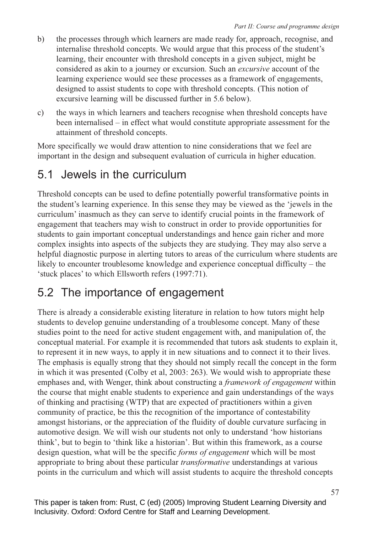- b) the processes through which learners are made ready for, approach, recognise, and internalise threshold concepts. We would argue that this process of the student's learning, their encounter with threshold concepts in a given subject, might be considered as akin to a journey or excursion. Such an *excursive* account of the learning experience would see these processes as a framework of engagements, designed to assist students to cope with threshold concepts. (This notion of excursive learning will be discussed further in 5.6 below).
- c) the ways in which learners and teachers recognise when threshold concepts have been internalised – in effect what would constitute appropriate assessment for the attainment of threshold concepts.

More specifically we would draw attention to nine considerations that we feel are important in the design and subsequent evaluation of curricula in higher education.

### 5.1 Jewels in the curriculum

Threshold concepts can be used to define potentially powerful transformative points in the student's learning experience. In this sense they may be viewed as the 'jewels in the curriculum' inasmuch as they can serve to identify crucial points in the framework of engagement that teachers may wish to construct in order to provide opportunities for students to gain important conceptual understandings and hence gain richer and more complex insights into aspects of the subjects they are studying. They may also serve a helpful diagnostic purpose in alerting tutors to areas of the curriculum where students are likely to encounter troublesome knowledge and experience conceptual difficulty – the 'stuck places' to which Ellsworth refers (1997:71).

### 5.2 The importance of engagement

There is already a considerable existing literature in relation to how tutors might help students to develop genuine understanding of a troublesome concept. Many of these studies point to the need for active student engagement with, and manipulation of, the conceptual material. For example it is recommended that tutors ask students to explain it, to represent it in new ways, to apply it in new situations and to connect it to their lives. The emphasis is equally strong that they should not simply recall the concept in the form in which it was presented (Colby et al, 2003: 263). We would wish to appropriate these emphases and, with Wenger, think about constructing a *framework of engagement* within the course that might enable students to experience and gain understandings of the ways of thinking and practising (WTP) that are expected of practitioners within a given community of practice, be this the recognition of the importance of contestability amongst historians, or the appreciation of the fluidity of double curvature surfacing in automotive design. We will wish our students not only to understand 'how historians think', but to begin to 'think like a historian'. But within this framework, as a course design question, what will be the specific *forms of engagement* which will be most appropriate to bring about these particular *transformative* understandings at various points in the curriculum and which will assist students to acquire the threshold concepts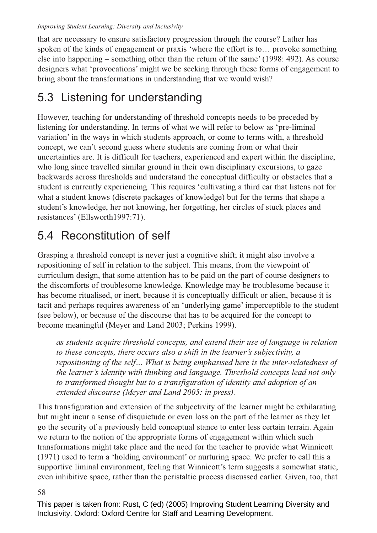that are necessary to ensure satisfactory progression through the course? Lather has spoken of the kinds of engagement or praxis 'where the effort is to… provoke something else into happening – something other than the return of the same' (1998: 492). As course designers what 'provocations' might we be seeking through these forms of engagement to bring about the transformations in understanding that we would wish?

### 5.3 Listening for understanding

However, teaching for understanding of threshold concepts needs to be preceded by listening for understanding. In terms of what we will refer to below as 'pre-liminal variation' in the ways in which students approach, or come to terms with, a threshold concept, we can't second guess where students are coming from or what their uncertainties are. It is difficult for teachers, experienced and expert within the discipline, who long since travelled similar ground in their own disciplinary excursions, to gaze backwards across thresholds and understand the conceptual difficulty or obstacles that a student is currently experiencing. This requires 'cultivating a third ear that listens not for what a student knows (discrete packages of knowledge) but for the terms that shape a student's knowledge, her not knowing, her forgetting, her circles of stuck places and resistances' (Ellsworth1997:71).

## 5.4 Reconstitution of self

Grasping a threshold concept is never just a cognitive shift; it might also involve a repositioning of self in relation to the subject. This means, from the viewpoint of curriculum design, that some attention has to be paid on the part of course designers to the discomforts of troublesome knowledge. Knowledge may be troublesome because it has become ritualised, or inert, because it is conceptually difficult or alien, because it is tacit and perhaps requires awareness of an 'underlying game' imperceptible to the student (see below), or because of the discourse that has to be acquired for the concept to become meaningful (Meyer and Land 2003; Perkins 1999).

*as students acquire threshold concepts, and extend their use of language in relation to these concepts, there occurs also a shift in the learner's subjectivity, a repositioning of the self… What is being emphasised here is the inter-relatedness of the learner's identity with thinking and language. Threshold concepts lead not only to transformed thought but to a transfiguration of identity and adoption of an extended discourse (Meyer and Land 2005: in press).*

This transfiguration and extension of the subjectivity of the learner might be exhilarating but might incur a sense of disquietude or even loss on the part of the learner as they let go the security of a previously held conceptual stance to enter less certain terrain. Again we return to the notion of the appropriate forms of engagement within which such transformations might take place and the need for the teacher to provide what Winnicott (1971) used to term a 'holding environment' or nurturing space. We prefer to call this a supportive liminal environment, feeling that Winnicott's term suggests a somewhat static, even inhibitive space, rather than the peristaltic process discussed earlier. Given, too, that

58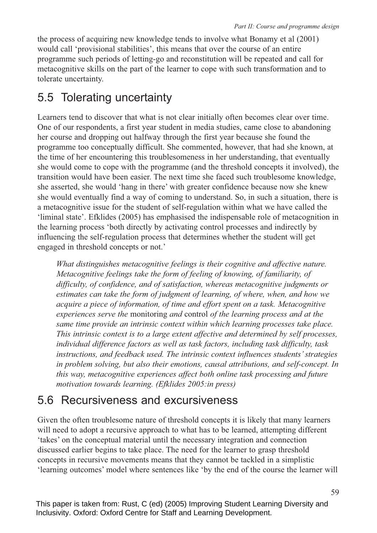the process of acquiring new knowledge tends to involve what Bonamy et al (2001) would call 'provisional stabilities', this means that over the course of an entire programme such periods of letting-go and reconstitution will be repeated and call for metacognitive skills on the part of the learner to cope with such transformation and to tolerate uncertainty.

### 5.5 Tolerating uncertainty

Learners tend to discover that what is not clear initially often becomes clear over time. One of our respondents, a first year student in media studies, came close to abandoning her course and dropping out halfway through the first year because she found the programme too conceptually difficult. She commented, however, that had she known, at the time of her encountering this troublesomeness in her understanding, that eventually she would come to cope with the programme (and the threshold concepts it involved), the transition would have been easier. The next time she faced such troublesome knowledge, she asserted, she would 'hang in there' with greater confidence because now she knew she would eventually find a way of coming to understand. So, in such a situation, there is a metacognitive issue for the student of self-regulation within what we have called the 'liminal state'. Efklides (2005) has emphasised the indispensable role of metacognition in the learning process 'both directly by activating control processes and indirectly by influencing the self-regulation process that determines whether the student will get engaged in threshold concepts or not.'

*What distinguishes metacognitive feelings is their cognitive and affective nature. Metacognitive feelings take the form of feeling of knowing, of familiarity, of difficulty, of confidence, and of satisfaction, whereas metacognitive judgments or estimates can take the form of judgment of learning, of where, when, and how we acquire a piece of information, of time and effort spent on a task. Metacognitive experiences serve the* monitoring *and* control *of the learning process and at the same time provide an intrinsic context within which learning processes take place. This intrinsic context is to a large extent affective and determined by self processes, individual difference factors as well as task factors, including task difficulty, task instructions, and feedback used. The intrinsic context influences students' strategies in problem solving, but also their emotions, causal attributions, and self-concept. In this way, metacognitive experiences affect both online task processing and future motivation towards learning. (Efklides 2005:in press)*

#### 5.6 Recursiveness and excursiveness

Given the often troublesome nature of threshold concepts it is likely that many learners will need to adopt a recursive approach to what has to be learned, attempting different 'takes' on the conceptual material until the necessary integration and connection discussed earlier begins to take place. The need for the learner to grasp threshold concepts in recursive movements means that they cannot be tackled in a simplistic 'learning outcomes' model where sentences like 'by the end of the course the learner will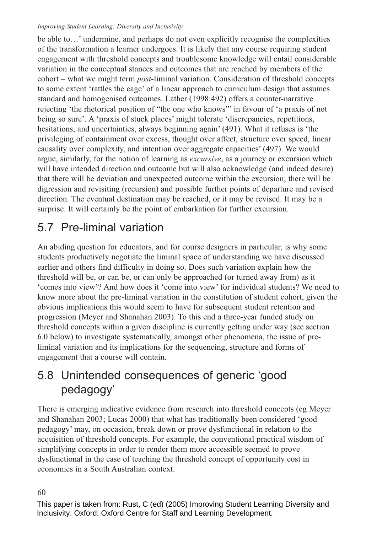#### *Improving Student Learning: Diversity and Inclusivity*

be able to…' undermine, and perhaps do not even explicitly recognise the complexities of the transformation a learner undergoes. It is likely that any course requiring student engagement with threshold concepts and troublesome knowledge will entail considerable variation in the conceptual stances and outcomes that are reached by members of the cohort – what we might term *post*-liminal variation. Consideration of threshold concepts to some extent 'rattles the cage' of a linear approach to curriculum design that assumes standard and homogenised outcomes. Lather (1998:492) offers a counter-narrative rejecting 'the rhetorical position of "the one who knows"' in favour of 'a praxis of not being so sure'. A 'praxis of stuck places' might tolerate 'discrepancies, repetitions, hesitations, and uncertainties, always beginning again' (491). What it refuses is 'the privileging of containment over excess, thought over affect, structure over speed, linear causality over complexity, and intention over aggregate capacities' (497). We would argue, similarly, for the notion of learning as *excursive*, as a journey or excursion which will have intended direction and outcome but will also acknowledge (and indeed desire) that there will be deviation and unexpected outcome within the excursion; there will be digression and revisiting (recursion) and possible further points of departure and revised direction. The eventual destination may be reached, or it may be revised. It may be a surprise. It will certainly be the point of embarkation for further excursion.

### 5.7 Pre-liminal variation

An abiding question for educators, and for course designers in particular, is why some students productively negotiate the liminal space of understanding we have discussed earlier and others find difficulty in doing so. Does such variation explain how the threshold will be, or can be, or can only be approached (or turned away from) as it 'comes into view'? And how does it 'come into view' for individual students? We need to know more about the pre-liminal variation in the constitution of student cohort, given the obvious implications this would seem to have for subsequent student retention and progression (Meyer and Shanahan 2003). To this end a three-year funded study on threshold concepts within a given discipline is currently getting under way (see section 6.0 below) to investigate systematically, amongst other phenomena, the issue of preliminal variation and its implications for the sequencing, structure and forms of engagement that a course will contain.

#### 5.8 Unintended consequences of generic 'good pedagogy'

There is emerging indicative evidence from research into threshold concepts (eg Meyer and Shanahan 2003; Lucas 2000) that what has traditionally been considered 'good pedagogy' may, on occasion, break down or prove dysfunctional in relation to the acquisition of threshold concepts. For example, the conventional practical wisdom of simplifying concepts in order to render them more accessible seemed to prove dysfunctional in the case of teaching the threshold concept of opportunity cost in economics in a South Australian context.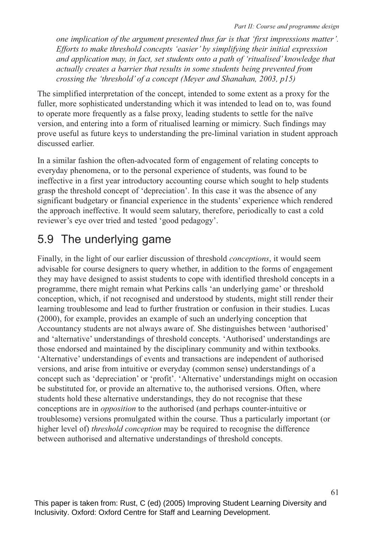*one implication of the argument presented thus far is that 'first impressions matter'. Efforts to make threshold concepts 'easier' by simplifying their initial expression and application may, in fact, set students onto a path of 'ritualised' knowledge that actually creates a barrier that results in some students being prevented from crossing the 'threshold' of a concept (Meyer and Shanahan, 2003, p15)*

The simplified interpretation of the concept, intended to some extent as a proxy for the fuller, more sophisticated understanding which it was intended to lead on to, was found to operate more frequently as a false proxy, leading students to settle for the naïve version, and entering into a form of ritualised learning or mimicry. Such findings may prove useful as future keys to understanding the pre-liminal variation in student approach discussed earlier.

In a similar fashion the often-advocated form of engagement of relating concepts to everyday phenomena, or to the personal experience of students, was found to be ineffective in a first year introductory accounting course which sought to help students grasp the threshold concept of 'depreciation'. In this case it was the absence of any significant budgetary or financial experience in the students' experience which rendered the approach ineffective. It would seem salutary, therefore, periodically to cast a cold reviewer's eye over tried and tested 'good pedagogy'.

#### 5.9 The underlying game

Finally, in the light of our earlier discussion of threshold *conceptions*, it would seem advisable for course designers to query whether, in addition to the forms of engagement they may have designed to assist students to cope with identified threshold concepts in a programme, there might remain what Perkins calls 'an underlying game' or threshold conception, which, if not recognised and understood by students, might still render their learning troublesome and lead to further frustration or confusion in their studies. Lucas (2000), for example, provides an example of such an underlying conception that Accountancy students are not always aware of. She distinguishes between 'authorised' and 'alternative' understandings of threshold concepts. 'Authorised' understandings are those endorsed and maintained by the disciplinary community and within textbooks. 'Alternative' understandings of events and transactions are independent of authorised versions, and arise from intuitive or everyday (common sense) understandings of a concept such as 'depreciation' or 'profit'. 'Alternative' understandings might on occasion be substituted for, or provide an alternative to, the authorised versions. Often, where students hold these alternative understandings, they do not recognise that these conceptions are in *opposition* to the authorised (and perhaps counter-intuitive or troublesome) versions promulgated within the course. Thus a particularly important (or higher level of) *threshold conception* may be required to recognise the difference between authorised and alternative understandings of threshold concepts.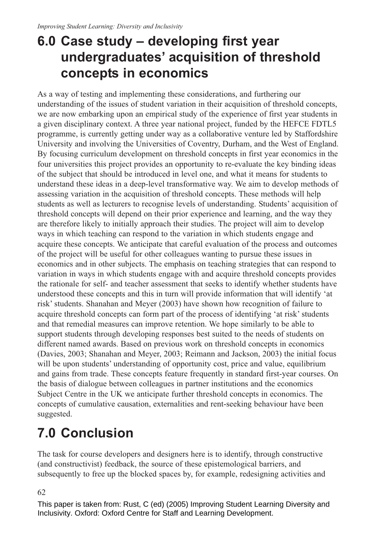# **6.0 Case study – developing first year undergraduates' acquisition of threshold concepts in economics**

As a way of testing and implementing these considerations, and furthering our understanding of the issues of student variation in their acquisition of threshold concepts, we are now embarking upon an empirical study of the experience of first year students in a given disciplinary context. A three year national project, funded by the HEFCE FDTL5 programme, is currently getting under way as a collaborative venture led by Staffordshire University and involving the Universities of Coventry, Durham, and the West of England. By focusing curriculum development on threshold concepts in first year economics in the four universities this project provides an opportunity to re-evaluate the key binding ideas of the subject that should be introduced in level one, and what it means for students to understand these ideas in a deep-level transformative way. We aim to develop methods of assessing variation in the acquisition of threshold concepts. These methods will help students as well as lecturers to recognise levels of understanding. Students' acquisition of threshold concepts will depend on their prior experience and learning, and the way they are therefore likely to initially approach their studies. The project will aim to develop ways in which teaching can respond to the variation in which students engage and acquire these concepts. We anticipate that careful evaluation of the process and outcomes of the project will be useful for other colleagues wanting to pursue these issues in economics and in other subjects. The emphasis on teaching strategies that can respond to variation in ways in which students engage with and acquire threshold concepts provides the rationale for self- and teacher assessment that seeks to identify whether students have understood these concepts and this in turn will provide information that will identify 'at risk' students. Shanahan and Meyer (2003) have shown how recognition of failure to acquire threshold concepts can form part of the process of identifying 'at risk' students and that remedial measures can improve retention. We hope similarly to be able to support students through developing responses best suited to the needs of students on different named awards. Based on previous work on threshold concepts in economics (Davies, 2003; Shanahan and Meyer, 2003; Reimann and Jackson, 2003) the initial focus will be upon students' understanding of opportunity cost, price and value, equilibrium and gains from trade. These concepts feature frequently in standard first-year courses. On the basis of dialogue between colleagues in partner institutions and the economics Subject Centre in the UK we anticipate further threshold concepts in economics. The concepts of cumulative causation, externalities and rent-seeking behaviour have been suggested.

# **7.0 Conclusion**

The task for course developers and designers here is to identify, through constructive (and constructivist) feedback, the source of these epistemological barriers, and subsequently to free up the blocked spaces by, for example, redesigning activities and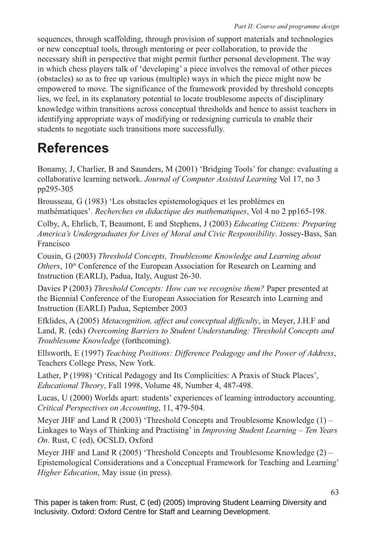sequences, through scaffolding, through provision of support materials and technologies or new conceptual tools, through mentoring or peer collaboration, to provide the necessary shift in perspective that might permit further personal development. The way in which chess players talk of 'developing' a piece involves the removal of other pieces (obstacles) so as to free up various (multiple) ways in which the piece might now be empowered to move. The significance of the framework provided by threshold concepts lies, we feel, in its explanatory potential to locate troublesome aspects of disciplinary knowledge within transitions across conceptual thresholds and hence to assist teachers in identifying appropriate ways of modifying or redesigning curricula to enable their students to negotiate such transitions more successfully.

# **References**

Bonamy, J, Charlier, B and Saunders, M (2001) 'Bridging Tools' for change: evaluating a collaborative learning network. *Journal of Computer Assisted Learning* Vol 17, no 3 pp295-305

Brousseau, G (1983) 'Les obstacles epistemologiques et les problèmes en mathématiques'. *Recherches en didactique des mathematiques*, Vol 4 no 2 pp165-198.

Colby, A, Ehrlich, T, Beaumont, E and Stephens, J (2003) *Educating Citizens: Preparing America's Undergraduates for Lives of Moral and Civic Responsibility*. Jossey-Bass, San Francisco

Cousin, G (2003) *Threshold Concepts, Troublesome Knowledge and Learning about Others*, 10<sup>th</sup> Conference of the European Association for Research on Learning and Instruction (EARLI), Padua, Italy, August 26-30.

Davies P (2003) *Threshold Concepts: How can we recognise them?* Paper presented at the Biennial Conference of the European Association for Research into Learning and Instruction (EARLI) Padua, September 2003

Efklides, A (2005) *Metacognition, affect and conceptual difficulty*, in Meyer, J.H.F and Land, R. (eds) *Overcoming Barriers to Student Understanding: Threshold Concepts and Troublesome Knowledge* (forthcoming).

Ellsworth, E (1997) *Teaching Positions: Difference Pedagogy and the Power of Address*, Teachers College Press, New York.

Lather, P (1998) 'Critical Pedagogy and Its Complicities: A Praxis of Stuck Places', *Educational Theory*, Fall 1998, Volume 48, Number 4, 487-498.

Lucas, U (2000) Worlds apart: students' experiences of learning introductory accounting. *Critical Perspectives on Accounting*, 11, 479-504.

Meyer JHF and Land R (2003) 'Threshold Concepts and Troublesome Knowledge (1) – Linkages to Ways of Thinking and Practising' in *Improving Student Learning – Ten Years On*. Rust, C (ed), OCSLD, Oxford

Meyer JHF and Land R (2005) 'Threshold Concepts and Troublesome Knowledge (2) – Epistemological Considerations and a Conceptual Framework for Teaching and Learning' *Higher Education*, May issue (in press).